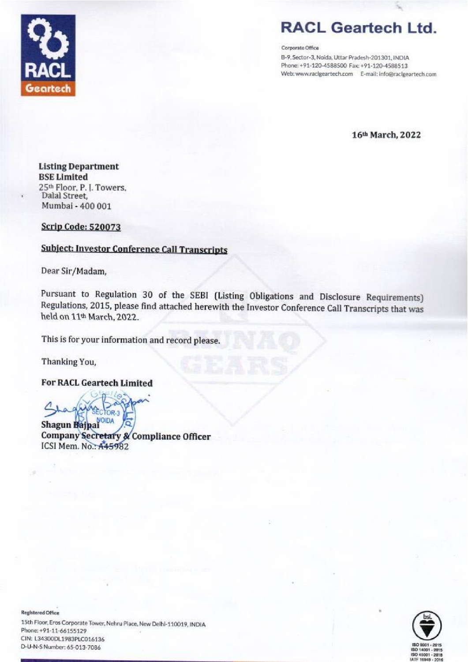

## RACL Geartech Ltd.

Corporate Office

B-9, Sector-3, Noida, Uttar Pradesh-201301, INDIA Phone: +71-120-4588500 Fax: +91-120-4588513 Web: www.raclgeartech.com E-mail: info@racigeartech.com

16" March, 2022

#### Listing Department BSE Limited 25% Floor, P. |. Towers, Dalal Street, Mumbai - 400 001

#### Scrip Code: 520073

#### Subject: Investor Conference Call Transcripts

Dear Sir/Madam,

Pursuant to Regulation 30 of the SEBI (Listing Obligations and Disclosure Requirements) Regulations, 2015, please find attached herewith the Investor Conference Call Transcripts that was held on 11% March, 2022.

This is for your information and record please.

Thanking You,

For RACL Geartech Limited

 $\overline{a}$ TOR-3

**Company Secret**<br>ICSI Mem. No.: A Company Secretary & Compliance Officer

Registered Offeee

15th Floor, Eros Corporate Tower, Nehru Place, New Delhi-110019, INDIA Phone: +71-11-66155129 CIN: L34300DL1983PL0016136 D-U-N-S Number: 45-013-7084 .<br>er, Nehru Place, New Delhi-11001<br>36<br>s

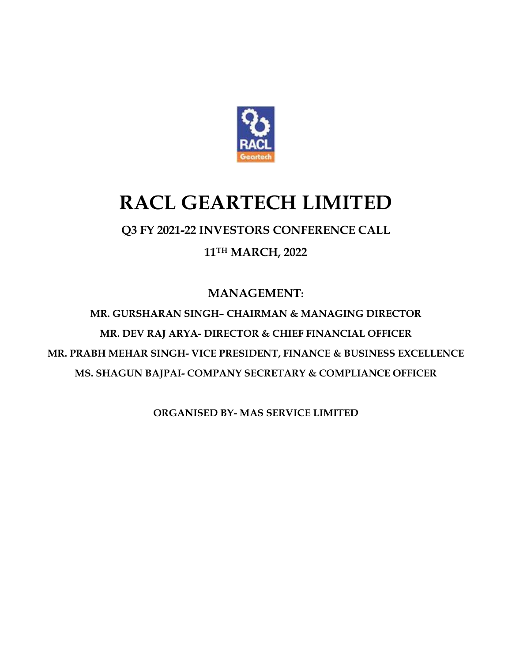

# **RACL GEARTECH LIMITED**

### **Q3 FY 2021-22 INVESTORS CONFERENCE CALL**

**11TH MARCH, 2022**

**MANAGEMENT:**

**MR. GURSHARAN SINGH– CHAIRMAN & MANAGING DIRECTOR MR. DEV RAJ ARYA- DIRECTOR & CHIEF FINANCIAL OFFICER MR. PRABH MEHAR SINGH- VICE PRESIDENT, FINANCE & BUSINESS EXCELLENCE MS. SHAGUN BAJPAI- COMPANY SECRETARY & COMPLIANCE OFFICER**

**ORGANISED BY- MAS SERVICE LIMITED**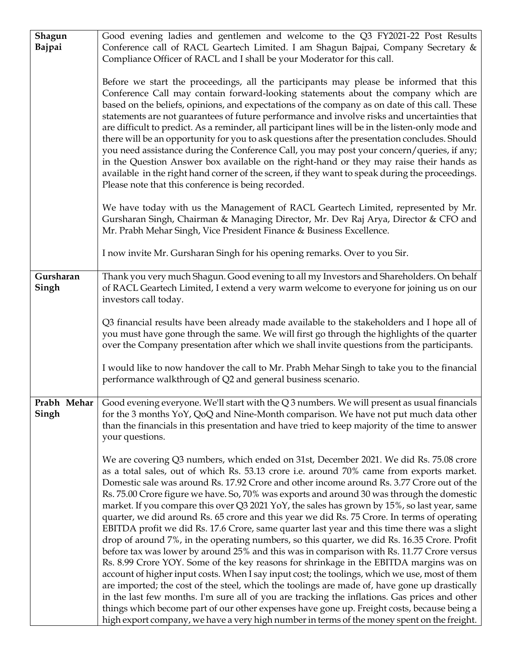| Shagun<br><b>Bajpai</b> | Good evening ladies and gentlemen and welcome to the Q3 FY2021-22 Post Results<br>Conference call of RACL Geartech Limited. I am Shagun Bajpai, Company Secretary &<br>Compliance Officer of RACL and I shall be your Moderator for this call.                                                                                                                                                                                                                                                                                                                                                                                                                                                                                                                                                                                                                                                                                                                                                                                                                                                                                                                                                                                                                                                                                                                                                                                                                          |
|-------------------------|-------------------------------------------------------------------------------------------------------------------------------------------------------------------------------------------------------------------------------------------------------------------------------------------------------------------------------------------------------------------------------------------------------------------------------------------------------------------------------------------------------------------------------------------------------------------------------------------------------------------------------------------------------------------------------------------------------------------------------------------------------------------------------------------------------------------------------------------------------------------------------------------------------------------------------------------------------------------------------------------------------------------------------------------------------------------------------------------------------------------------------------------------------------------------------------------------------------------------------------------------------------------------------------------------------------------------------------------------------------------------------------------------------------------------------------------------------------------------|
|                         | Before we start the proceedings, all the participants may please be informed that this<br>Conference Call may contain forward-looking statements about the company which are<br>based on the beliefs, opinions, and expectations of the company as on date of this call. These<br>statements are not guarantees of future performance and involve risks and uncertainties that<br>are difficult to predict. As a reminder, all participant lines will be in the listen-only mode and<br>there will be an opportunity for you to ask questions after the presentation concludes. Should<br>you need assistance during the Conference Call, you may post your concern/queries, if any;<br>in the Question Answer box available on the right-hand or they may raise their hands as<br>available in the right hand corner of the screen, if they want to speak during the proceedings.<br>Please note that this conference is being recorded.                                                                                                                                                                                                                                                                                                                                                                                                                                                                                                                               |
|                         | We have today with us the Management of RACL Geartech Limited, represented by Mr.<br>Gursharan Singh, Chairman & Managing Director, Mr. Dev Raj Arya, Director & CFO and<br>Mr. Prabh Mehar Singh, Vice President Finance & Business Excellence.                                                                                                                                                                                                                                                                                                                                                                                                                                                                                                                                                                                                                                                                                                                                                                                                                                                                                                                                                                                                                                                                                                                                                                                                                        |
|                         | I now invite Mr. Gursharan Singh for his opening remarks. Over to you Sir.                                                                                                                                                                                                                                                                                                                                                                                                                                                                                                                                                                                                                                                                                                                                                                                                                                                                                                                                                                                                                                                                                                                                                                                                                                                                                                                                                                                              |
| Gursharan<br>Singh      | Thank you very much Shagun. Good evening to all my Investors and Shareholders. On behalf<br>of RACL Geartech Limited, I extend a very warm welcome to everyone for joining us on our<br>investors call today.                                                                                                                                                                                                                                                                                                                                                                                                                                                                                                                                                                                                                                                                                                                                                                                                                                                                                                                                                                                                                                                                                                                                                                                                                                                           |
|                         | Q3 financial results have been already made available to the stakeholders and I hope all of<br>you must have gone through the same. We will first go through the highlights of the quarter<br>over the Company presentation after which we shall invite questions from the participants.                                                                                                                                                                                                                                                                                                                                                                                                                                                                                                                                                                                                                                                                                                                                                                                                                                                                                                                                                                                                                                                                                                                                                                                |
|                         | I would like to now handover the call to Mr. Prabh Mehar Singh to take you to the financial<br>performance walkthrough of Q2 and general business scenario.                                                                                                                                                                                                                                                                                                                                                                                                                                                                                                                                                                                                                                                                                                                                                                                                                                                                                                                                                                                                                                                                                                                                                                                                                                                                                                             |
| Singh                   | <b>Prabh Mehar</b> $\vert$ Good evening everyone. We'll start with the Q 3 numbers. We will present as usual financials<br>for the 3 months YoY, QoQ and Nine-Month comparison. We have not put much data other<br>than the financials in this presentation and have tried to keep majority of the time to answer<br>your questions.                                                                                                                                                                                                                                                                                                                                                                                                                                                                                                                                                                                                                                                                                                                                                                                                                                                                                                                                                                                                                                                                                                                                    |
|                         | We are covering Q3 numbers, which ended on 31st, December 2021. We did Rs. 75.08 crore<br>as a total sales, out of which Rs. 53.13 crore i.e. around 70% came from exports market.<br>Domestic sale was around Rs. 17.92 Crore and other income around Rs. 3.77 Crore out of the<br>Rs. 75.00 Crore figure we have. So, 70% was exports and around 30 was through the domestic<br>market. If you compare this over Q3 2021 YoY, the sales has grown by 15%, so last year, same<br>quarter, we did around Rs. 65 crore and this year we did Rs. 75 Crore. In terms of operating<br>EBITDA profit we did Rs. 17.6 Crore, same quarter last year and this time there was a slight<br>drop of around 7%, in the operating numbers, so this quarter, we did Rs. 16.35 Crore. Profit<br>before tax was lower by around 25% and this was in comparison with Rs. 11.77 Crore versus<br>Rs. 8.99 Crore YOY. Some of the key reasons for shrinkage in the EBITDA margins was on<br>account of higher input costs. When I say input cost; the toolings, which we use, most of them<br>are imported; the cost of the steel, which the toolings are made of, have gone up drastically<br>in the last few months. I'm sure all of you are tracking the inflations. Gas prices and other<br>things which become part of our other expenses have gone up. Freight costs, because being a<br>high export company, we have a very high number in terms of the money spent on the freight. |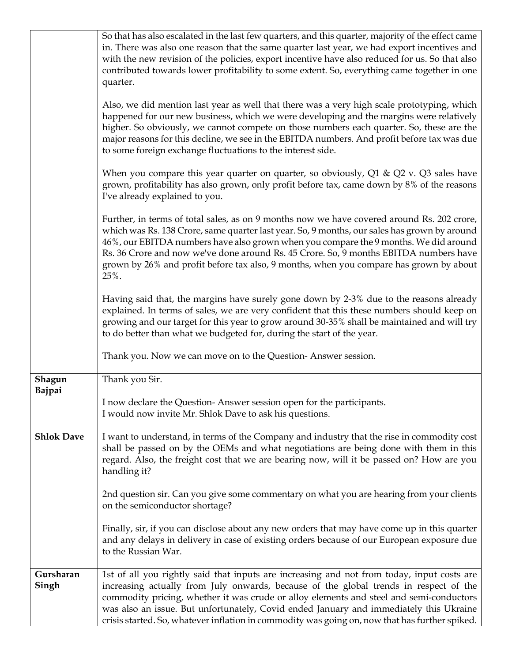|                    | So that has also escalated in the last few quarters, and this quarter, majority of the effect came<br>in. There was also one reason that the same quarter last year, we had export incentives and<br>with the new revision of the policies, export incentive have also reduced for us. So that also<br>contributed towards lower profitability to some extent. So, everything came together in one<br>quarter.                                                                |
|--------------------|-------------------------------------------------------------------------------------------------------------------------------------------------------------------------------------------------------------------------------------------------------------------------------------------------------------------------------------------------------------------------------------------------------------------------------------------------------------------------------|
|                    | Also, we did mention last year as well that there was a very high scale prototyping, which<br>happened for our new business, which we were developing and the margins were relatively<br>higher. So obviously, we cannot compete on those numbers each quarter. So, these are the<br>major reasons for this decline, we see in the EBITDA numbers. And profit before tax was due<br>to some foreign exchange fluctuations to the interest side.                               |
|                    | When you compare this year quarter on quarter, so obviously, $Q1 \& Q2$ v. $Q3$ sales have<br>grown, profitability has also grown, only profit before tax, came down by 8% of the reasons<br>I've already explained to you.                                                                                                                                                                                                                                                   |
|                    | Further, in terms of total sales, as on 9 months now we have covered around Rs. 202 crore,<br>which was Rs. 138 Crore, same quarter last year. So, 9 months, our sales has grown by around<br>46%, our EBITDA numbers have also grown when you compare the 9 months. We did around<br>Rs. 36 Crore and now we've done around Rs. 45 Crore. So, 9 months EBITDA numbers have<br>grown by 26% and profit before tax also, 9 months, when you compare has grown by about<br>25%. |
|                    | Having said that, the margins have surely gone down by 2-3% due to the reasons already<br>explained. In terms of sales, we are very confident that this these numbers should keep on<br>growing and our target for this year to grow around 30-35% shall be maintained and will try<br>to do better than what we budgeted for, during the start of the year.                                                                                                                  |
|                    | Thank you. Now we can move on to the Question-Answer session.                                                                                                                                                                                                                                                                                                                                                                                                                 |
| Shagun<br>Bajpai   | Thank you Sir.                                                                                                                                                                                                                                                                                                                                                                                                                                                                |
|                    | I now declare the Question-Answer session open for the participants.<br>I would now invite Mr. Shlok Dave to ask his questions.                                                                                                                                                                                                                                                                                                                                               |
| <b>Shlok Dave</b>  | I want to understand, in terms of the Company and industry that the rise in commodity cost<br>shall be passed on by the OEMs and what negotiations are being done with them in this<br>regard. Also, the freight cost that we are bearing now, will it be passed on? How are you<br>handling it?                                                                                                                                                                              |
|                    | 2nd question sir. Can you give some commentary on what you are hearing from your clients<br>on the semiconductor shortage?                                                                                                                                                                                                                                                                                                                                                    |
|                    | Finally, sir, if you can disclose about any new orders that may have come up in this quarter<br>and any delays in delivery in case of existing orders because of our European exposure due<br>to the Russian War.                                                                                                                                                                                                                                                             |
| Gursharan<br>Singh | 1st of all you rightly said that inputs are increasing and not from today, input costs are<br>increasing actually from July onwards, because of the global trends in respect of the<br>commodity pricing, whether it was crude or alloy elements and steel and semi-conductors<br>was also an issue. But unfortunately, Covid ended January and immediately this Ukraine<br>crisis started. So, whatever inflation in commodity was going on, now that has further spiked.    |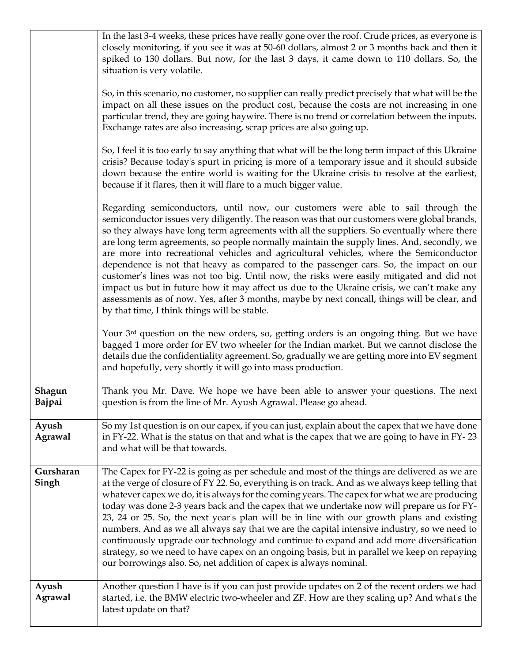|                    | In the last 3-4 weeks, these prices have really gone over the roof. Crude prices, as everyone is<br>closely monitoring, if you see it was at 50-60 dollars, almost 2 or 3 months back and then it<br>spiked to 130 dollars. But now, for the last 3 days, it came down to 110 dollars. So, the<br>situation is very volatile.<br>So, in this scenario, no customer, no supplier can really predict precisely that what will be the                                                                                                                                                                                                                                                                                                                                                                                                                                                                     |
|--------------------|--------------------------------------------------------------------------------------------------------------------------------------------------------------------------------------------------------------------------------------------------------------------------------------------------------------------------------------------------------------------------------------------------------------------------------------------------------------------------------------------------------------------------------------------------------------------------------------------------------------------------------------------------------------------------------------------------------------------------------------------------------------------------------------------------------------------------------------------------------------------------------------------------------|
|                    | impact on all these issues on the product cost, because the costs are not increasing in one<br>particular trend, they are going haywire. There is no trend or correlation between the inputs.<br>Exchange rates are also increasing, scrap prices are also going up.                                                                                                                                                                                                                                                                                                                                                                                                                                                                                                                                                                                                                                   |
|                    | So, I feel it is too early to say anything that what will be the long term impact of this Ukraine<br>crisis? Because today's spurt in pricing is more of a temporary issue and it should subside<br>down because the entire world is waiting for the Ukraine crisis to resolve at the earliest,<br>because if it flares, then it will flare to a much bigger value.                                                                                                                                                                                                                                                                                                                                                                                                                                                                                                                                    |
|                    | Regarding semiconductors, until now, our customers were able to sail through the<br>semiconductor issues very diligently. The reason was that our customers were global brands,<br>so they always have long term agreements with all the suppliers. So eventually where there<br>are long term agreements, so people normally maintain the supply lines. And, secondly, we<br>are more into recreational vehicles and agricultural vehicles, where the Semiconductor<br>dependence is not that heavy as compared to the passenger cars. So, the impact on our<br>customer's lines was not too big. Until now, the risks were easily mitigated and did not<br>impact us but in future how it may affect us due to the Ukraine crisis, we can't make any<br>assessments as of now. Yes, after 3 months, maybe by next concall, things will be clear, and<br>by that time, I think things will be stable. |
|                    | Your 3rd question on the new orders, so, getting orders is an ongoing thing. But we have<br>bagged 1 more order for EV two wheeler for the Indian market. But we cannot disclose the<br>details due the confidentiality agreement. So, gradually we are getting more into EV segment<br>and hopefully, very shortly it will go into mass production.                                                                                                                                                                                                                                                                                                                                                                                                                                                                                                                                                   |
| Shagun<br>Bajpai   | Thank you Mr. Dave. We hope we have been able to answer your questions. The next<br>question is from the line of Mr. Ayush Agrawal. Please go ahead.                                                                                                                                                                                                                                                                                                                                                                                                                                                                                                                                                                                                                                                                                                                                                   |
| Ayush<br>Agrawal   | So my 1st question is on our capex, if you can just, explain about the capex that we have done<br>in FY-22. What is the status on that and what is the capex that we are going to have in FY-23<br>and what will be that towards.                                                                                                                                                                                                                                                                                                                                                                                                                                                                                                                                                                                                                                                                      |
| Gursharan<br>Singh | The Capex for FY-22 is going as per schedule and most of the things are delivered as we are<br>at the verge of closure of FY 22. So, everything is on track. And as we always keep telling that<br>whatever capex we do, it is always for the coming years. The capex for what we are producing<br>today was done 2-3 years back and the capex that we undertake now will prepare us for FY-<br>23, 24 or 25. So, the next year's plan will be in line with our growth plans and existing<br>numbers. And as we all always say that we are the capital intensive industry, so we need to<br>continuously upgrade our technology and continue to expand and add more diversification<br>strategy, so we need to have capex on an ongoing basis, but in parallel we keep on repaying<br>our borrowings also. So, net addition of capex is always nominal.                                                |
| Ayush<br>Agrawal   | Another question I have is if you can just provide updates on 2 of the recent orders we had<br>started, i.e. the BMW electric two-wheeler and ZF. How are they scaling up? And what's the<br>latest update on that?                                                                                                                                                                                                                                                                                                                                                                                                                                                                                                                                                                                                                                                                                    |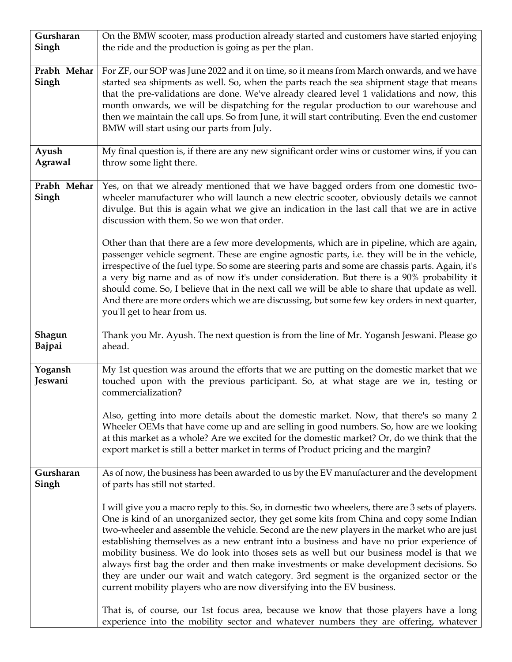| Gursharan               | On the BMW scooter, mass production already started and customers have started enjoying                                                                                                                                                                                                                                                                                                                                                                                                                                                                                                                                            |
|-------------------------|------------------------------------------------------------------------------------------------------------------------------------------------------------------------------------------------------------------------------------------------------------------------------------------------------------------------------------------------------------------------------------------------------------------------------------------------------------------------------------------------------------------------------------------------------------------------------------------------------------------------------------|
| Singh                   | the ride and the production is going as per the plan.                                                                                                                                                                                                                                                                                                                                                                                                                                                                                                                                                                              |
| Prabh Mehar<br>Singh    | For ZF, our SOP was June 2022 and it on time, so it means from March onwards, and we have<br>started sea shipments as well. So, when the parts reach the sea shipment stage that means<br>that the pre-validations are done. We've already cleared level 1 validations and now, this<br>month onwards, we will be dispatching for the regular production to our warehouse and<br>then we maintain the call ups. So from June, it will start contributing. Even the end customer<br>BMW will start using our parts from July.                                                                                                       |
| Ayush<br><b>Agrawal</b> | My final question is, if there are any new significant order wins or customer wins, if you can<br>throw some light there.                                                                                                                                                                                                                                                                                                                                                                                                                                                                                                          |
| Prabh Mehar<br>Singh    | Yes, on that we already mentioned that we have bagged orders from one domestic two-<br>wheeler manufacturer who will launch a new electric scooter, obviously details we cannot<br>divulge. But this is again what we give an indication in the last call that we are in active<br>discussion with them. So we won that order.<br>Other than that there are a few more developments, which are in pipeline, which are again,<br>passenger vehicle segment. These are engine agnostic parts, i.e. they will be in the vehicle,<br>irrespective of the fuel type. So some are steering parts and some are chassis parts. Again, it's |
|                         | a very big name and as of now it's under consideration. But there is a 90% probability it<br>should come. So, I believe that in the next call we will be able to share that update as well.<br>And there are more orders which we are discussing, but some few key orders in next quarter,<br>you'll get to hear from us.                                                                                                                                                                                                                                                                                                          |
| Shagun<br>Bajpai        | Thank you Mr. Ayush. The next question is from the line of Mr. Yogansh Jeswani. Please go<br>ahead.                                                                                                                                                                                                                                                                                                                                                                                                                                                                                                                                |
| Yogansh<br>Jeswani      | My 1st question was around the efforts that we are putting on the domestic market that we<br>touched upon with the previous participant. So, at what stage are we in, testing or<br>commercialization?                                                                                                                                                                                                                                                                                                                                                                                                                             |
|                         | Also, getting into more details about the domestic market. Now, that there's so many 2<br>Wheeler OEMs that have come up and are selling in good numbers. So, how are we looking<br>at this market as a whole? Are we excited for the domestic market? Or, do we think that the<br>export market is still a better market in terms of Product pricing and the margin?                                                                                                                                                                                                                                                              |
| Gursharan<br>Singh      | As of now, the business has been awarded to us by the EV manufacturer and the development<br>of parts has still not started.                                                                                                                                                                                                                                                                                                                                                                                                                                                                                                       |
|                         | I will give you a macro reply to this. So, in domestic two wheelers, there are 3 sets of players.<br>One is kind of an unorganized sector, they get some kits from China and copy some Indian<br>two-wheeler and assemble the vehicle. Second are the new players in the market who are just<br>establishing themselves as a new entrant into a business and have no prior experience of<br>mobility business. We do look into thoses sets as well but our business model is that we                                                                                                                                               |
|                         | always first bag the order and then make investments or make development decisions. So<br>they are under our wait and watch category. 3rd segment is the organized sector or the<br>current mobility players who are now diversifying into the EV business.<br>That is, of course, our 1st focus area, because we know that those players have a long                                                                                                                                                                                                                                                                              |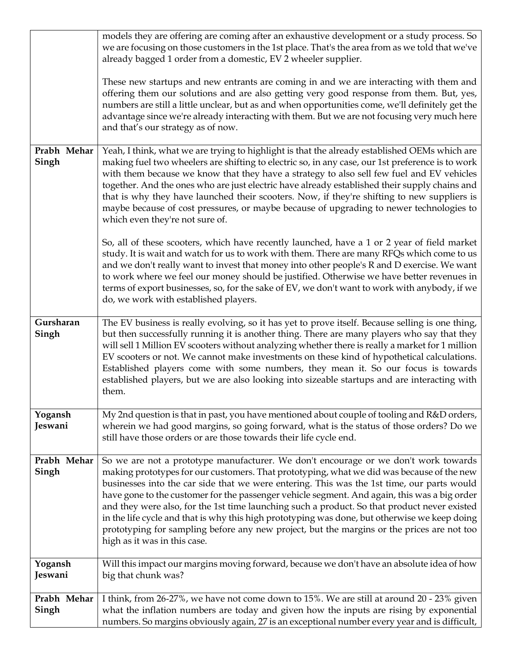|                      | models they are offering are coming after an exhaustive development or a study process. So<br>we are focusing on those customers in the 1st place. That's the area from as we told that we've<br>already bagged 1 order from a domestic, EV 2 wheeler supplier.                                                                                                                                                                                                                                                                                                                                                                                                                                               |
|----------------------|---------------------------------------------------------------------------------------------------------------------------------------------------------------------------------------------------------------------------------------------------------------------------------------------------------------------------------------------------------------------------------------------------------------------------------------------------------------------------------------------------------------------------------------------------------------------------------------------------------------------------------------------------------------------------------------------------------------|
|                      | These new startups and new entrants are coming in and we are interacting with them and<br>offering them our solutions and are also getting very good response from them. But, yes,<br>numbers are still a little unclear, but as and when opportunities come, we'll definitely get the<br>advantage since we're already interacting with them. But we are not focusing very much here<br>and that's our strategy as of now.                                                                                                                                                                                                                                                                                   |
| Prabh Mehar<br>Singh | Yeah, I think, what we are trying to highlight is that the already established OEMs which are<br>making fuel two wheelers are shifting to electric so, in any case, our 1st preference is to work<br>with them because we know that they have a strategy to also sell few fuel and EV vehicles<br>together. And the ones who are just electric have already established their supply chains and<br>that is why they have launched their scooters. Now, if they're shifting to new suppliers is<br>maybe because of cost pressures, or maybe because of upgrading to newer technologies to<br>which even they're not sure of.                                                                                  |
|                      | So, all of these scooters, which have recently launched, have a 1 or 2 year of field market<br>study. It is wait and watch for us to work with them. There are many RFQs which come to us<br>and we don't really want to invest that money into other people's R and D exercise. We want<br>to work where we feel our money should be justified. Otherwise we have better revenues in<br>terms of export businesses, so, for the sake of EV, we don't want to work with anybody, if we<br>do, we work with established players.                                                                                                                                                                               |
| Gursharan<br>Singh   | The EV business is really evolving, so it has yet to prove itself. Because selling is one thing,<br>but then successfully running it is another thing. There are many players who say that they<br>will sell 1 Million EV scooters without analyzing whether there is really a market for 1 million<br>EV scooters or not. We cannot make investments on these kind of hypothetical calculations.<br>Established players come with some numbers, they mean it. So our focus is towards<br>established players, but we are also looking into sizeable startups and are interacting with<br>them.                                                                                                               |
| Yogansh<br>Jeswani   | My 2nd question is that in past, you have mentioned about couple of tooling and R&D orders,<br>wherein we had good margins, so going forward, what is the status of those orders? Do we<br>still have those orders or are those towards their life cycle end.                                                                                                                                                                                                                                                                                                                                                                                                                                                 |
| Prabh Mehar<br>Singh | So we are not a prototype manufacturer. We don't encourage or we don't work towards<br>making prototypes for our customers. That prototyping, what we did was because of the new<br>businesses into the car side that we were entering. This was the 1st time, our parts would<br>have gone to the customer for the passenger vehicle segment. And again, this was a big order<br>and they were also, for the 1st time launching such a product. So that product never existed<br>in the life cycle and that is why this high prototyping was done, but otherwise we keep doing<br>prototyping for sampling before any new project, but the margins or the prices are not too<br>high as it was in this case. |
| Yogansh<br>Jeswani   | Will this impact our margins moving forward, because we don't have an absolute idea of how<br>big that chunk was?                                                                                                                                                                                                                                                                                                                                                                                                                                                                                                                                                                                             |
| Prabh Mehar<br>Singh | I think, from 26-27%, we have not come down to 15%. We are still at around 20 - 23% given<br>what the inflation numbers are today and given how the inputs are rising by exponential<br>numbers. So margins obviously again, 27 is an exceptional number every year and is difficult,                                                                                                                                                                                                                                                                                                                                                                                                                         |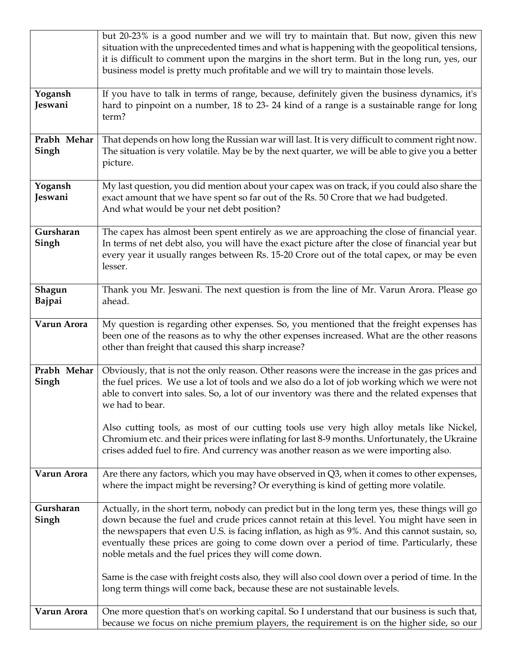|                      | but 20-23% is a good number and we will try to maintain that. But now, given this new<br>situation with the unprecedented times and what is happening with the geopolitical tensions,<br>it is difficult to comment upon the margins in the short term. But in the long run, yes, our<br>business model is pretty much profitable and we will try to maintain those levels.                                                                          |
|----------------------|------------------------------------------------------------------------------------------------------------------------------------------------------------------------------------------------------------------------------------------------------------------------------------------------------------------------------------------------------------------------------------------------------------------------------------------------------|
| Yogansh<br>Jeswani   | If you have to talk in terms of range, because, definitely given the business dynamics, it's<br>hard to pinpoint on a number, 18 to 23-24 kind of a range is a sustainable range for long<br>term?                                                                                                                                                                                                                                                   |
| Prabh Mehar<br>Singh | That depends on how long the Russian war will last. It is very difficult to comment right now.<br>The situation is very volatile. May be by the next quarter, we will be able to give you a better<br>picture.                                                                                                                                                                                                                                       |
| Yogansh<br>Jeswani   | My last question, you did mention about your capex was on track, if you could also share the<br>exact amount that we have spent so far out of the Rs. 50 Crore that we had budgeted.<br>And what would be your net debt position?                                                                                                                                                                                                                    |
| Gursharan<br>Singh   | The capex has almost been spent entirely as we are approaching the close of financial year.<br>In terms of net debt also, you will have the exact picture after the close of financial year but<br>every year it usually ranges between Rs. 15-20 Crore out of the total capex, or may be even<br>lesser.                                                                                                                                            |
| Shagun<br>Bajpai     | Thank you Mr. Jeswani. The next question is from the line of Mr. Varun Arora. Please go<br>ahead.                                                                                                                                                                                                                                                                                                                                                    |
| Varun Arora          | My question is regarding other expenses. So, you mentioned that the freight expenses has<br>been one of the reasons as to why the other expenses increased. What are the other reasons<br>other than freight that caused this sharp increase?                                                                                                                                                                                                        |
| Prabh Mehar<br>Singh | Obviously, that is not the only reason. Other reasons were the increase in the gas prices and<br>the fuel prices. We use a lot of tools and we also do a lot of job working which we were not<br>able to convert into sales. So, a lot of our inventory was there and the related expenses that<br>we had to bear.                                                                                                                                   |
|                      | Also cutting tools, as most of our cutting tools use very high alloy metals like Nickel,<br>Chromium etc. and their prices were inflating for last 8-9 months. Unfortunately, the Ukraine<br>crises added fuel to fire. And currency was another reason as we were importing also.                                                                                                                                                                   |
| Varun Arora          | Are there any factors, which you may have observed in Q3, when it comes to other expenses,<br>where the impact might be reversing? Or everything is kind of getting more volatile.                                                                                                                                                                                                                                                                   |
| Gursharan<br>Singh   | Actually, in the short term, nobody can predict but in the long term yes, these things will go<br>down because the fuel and crude prices cannot retain at this level. You might have seen in<br>the newspapers that even U.S. is facing inflation, as high as 9%. And this cannot sustain, so,<br>eventually these prices are going to come down over a period of time. Particularly, these<br>noble metals and the fuel prices they will come down. |
|                      | Same is the case with freight costs also, they will also cool down over a period of time. In the<br>long term things will come back, because these are not sustainable levels.                                                                                                                                                                                                                                                                       |
| Varun Arora          | One more question that's on working capital. So I understand that our business is such that,<br>because we focus on niche premium players, the requirement is on the higher side, so our                                                                                                                                                                                                                                                             |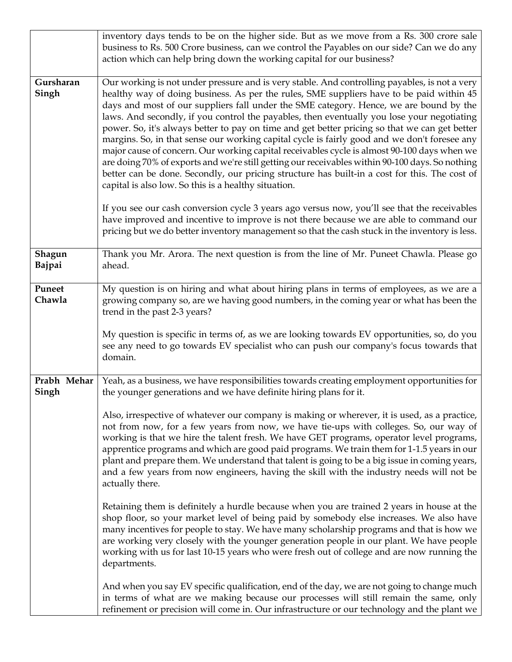|                      | inventory days tends to be on the higher side. But as we move from a Rs. 300 crore sale<br>business to Rs. 500 Crore business, can we control the Payables on our side? Can we do any<br>action which can help bring down the working capital for our business?                                                                                                                                                                                                                                                                                                                                                                                                                                                                                                                                                                                                                                                                               |
|----------------------|-----------------------------------------------------------------------------------------------------------------------------------------------------------------------------------------------------------------------------------------------------------------------------------------------------------------------------------------------------------------------------------------------------------------------------------------------------------------------------------------------------------------------------------------------------------------------------------------------------------------------------------------------------------------------------------------------------------------------------------------------------------------------------------------------------------------------------------------------------------------------------------------------------------------------------------------------|
| Gursharan<br>Singh   | Our working is not under pressure and is very stable. And controlling payables, is not a very<br>healthy way of doing business. As per the rules, SME suppliers have to be paid within 45<br>days and most of our suppliers fall under the SME category. Hence, we are bound by the<br>laws. And secondly, if you control the payables, then eventually you lose your negotiating<br>power. So, it's always better to pay on time and get better pricing so that we can get better<br>margins. So, in that sense our working capital cycle is fairly good and we don't foresee any<br>major cause of concern. Our working capital receivables cycle is almost 90-100 days when we<br>are doing 70% of exports and we're still getting our receivables within 90-100 days. So nothing<br>better can be done. Secondly, our pricing structure has built-in a cost for this. The cost of<br>capital is also low. So this is a healthy situation. |
|                      | If you see our cash conversion cycle 3 years ago versus now, you'll see that the receivables<br>have improved and incentive to improve is not there because we are able to command our<br>pricing but we do better inventory management so that the cash stuck in the inventory is less.                                                                                                                                                                                                                                                                                                                                                                                                                                                                                                                                                                                                                                                      |
| Shagun<br>Bajpai     | Thank you Mr. Arora. The next question is from the line of Mr. Puneet Chawla. Please go<br>ahead.                                                                                                                                                                                                                                                                                                                                                                                                                                                                                                                                                                                                                                                                                                                                                                                                                                             |
| Puneet<br>Chawla     | My question is on hiring and what about hiring plans in terms of employees, as we are a<br>growing company so, are we having good numbers, in the coming year or what has been the<br>trend in the past 2-3 years?                                                                                                                                                                                                                                                                                                                                                                                                                                                                                                                                                                                                                                                                                                                            |
|                      | My question is specific in terms of, as we are looking towards EV opportunities, so, do you<br>see any need to go towards EV specialist who can push our company's focus towards that<br>domain.                                                                                                                                                                                                                                                                                                                                                                                                                                                                                                                                                                                                                                                                                                                                              |
| Prabh Mehar<br>Singh | Yeah, as a business, we have responsibilities towards creating employment opportunities for<br>the younger generations and we have definite hiring plans for it.                                                                                                                                                                                                                                                                                                                                                                                                                                                                                                                                                                                                                                                                                                                                                                              |
|                      | Also, irrespective of whatever our company is making or wherever, it is used, as a practice,<br>not from now, for a few years from now, we have tie-ups with colleges. So, our way of<br>working is that we hire the talent fresh. We have GET programs, operator level programs,<br>apprentice programs and which are good paid programs. We train them for 1-1.5 years in our<br>plant and prepare them. We understand that talent is going to be a big issue in coming years,<br>and a few years from now engineers, having the skill with the industry needs will not be<br>actually there.                                                                                                                                                                                                                                                                                                                                               |
|                      | Retaining them is definitely a hurdle because when you are trained 2 years in house at the<br>shop floor, so your market level of being paid by somebody else increases. We also have<br>many incentives for people to stay. We have many scholarship programs and that is how we<br>are working very closely with the younger generation people in our plant. We have people<br>working with us for last 10-15 years who were fresh out of college and are now running the<br>departments.                                                                                                                                                                                                                                                                                                                                                                                                                                                   |
|                      | And when you say EV specific qualification, end of the day, we are not going to change much<br>in terms of what are we making because our processes will still remain the same, only<br>refinement or precision will come in. Our infrastructure or our technology and the plant we                                                                                                                                                                                                                                                                                                                                                                                                                                                                                                                                                                                                                                                           |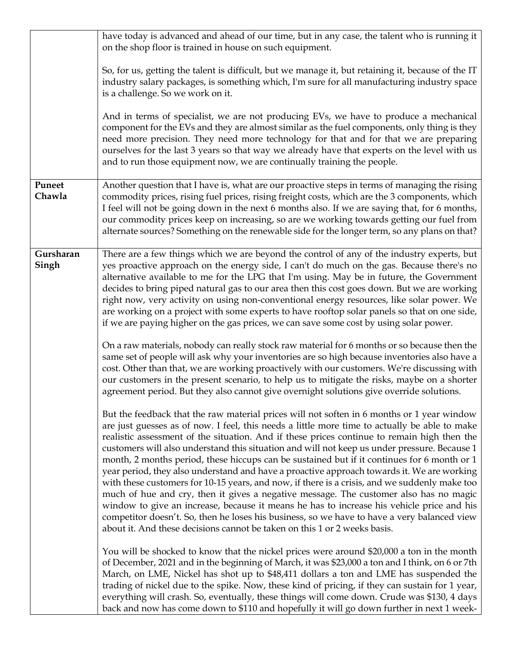|                    | have today is advanced and ahead of our time, but in any case, the talent who is running it<br>on the shop floor is trained in house on such equipment.                                                                                                                                                                                                                                                                                                                                                                                                                                                                                                                                                                                                                                                                                                                                                                                                                                                                                                    |
|--------------------|------------------------------------------------------------------------------------------------------------------------------------------------------------------------------------------------------------------------------------------------------------------------------------------------------------------------------------------------------------------------------------------------------------------------------------------------------------------------------------------------------------------------------------------------------------------------------------------------------------------------------------------------------------------------------------------------------------------------------------------------------------------------------------------------------------------------------------------------------------------------------------------------------------------------------------------------------------------------------------------------------------------------------------------------------------|
|                    | So, for us, getting the talent is difficult, but we manage it, but retaining it, because of the IT<br>industry salary packages, is something which, I'm sure for all manufacturing industry space<br>is a challenge. So we work on it.                                                                                                                                                                                                                                                                                                                                                                                                                                                                                                                                                                                                                                                                                                                                                                                                                     |
|                    | And in terms of specialist, we are not producing EVs, we have to produce a mechanical<br>component for the EVs and they are almost similar as the fuel components, only thing is they<br>need more precision. They need more technology for that and for that we are preparing<br>ourselves for the last 3 years so that way we already have that experts on the level with us<br>and to run those equipment now, we are continually training the people.                                                                                                                                                                                                                                                                                                                                                                                                                                                                                                                                                                                                  |
| Puneet<br>Chawla   | Another question that I have is, what are our proactive steps in terms of managing the rising<br>commodity prices, rising fuel prices, rising freight costs, which are the 3 components, which<br>I feel will not be going down in the next 6 months also. If we are saying that, for 6 months,<br>our commodity prices keep on increasing, so are we working towards getting our fuel from<br>alternate sources? Something on the renewable side for the longer term, so any plans on that?                                                                                                                                                                                                                                                                                                                                                                                                                                                                                                                                                               |
| Gursharan<br>Singh | There are a few things which we are beyond the control of any of the industry experts, but<br>yes proactive approach on the energy side, I can't do much on the gas. Because there's no<br>alternative available to me for the LPG that I'm using. May be in future, the Government<br>decides to bring piped natural gas to our area then this cost goes down. But we are working<br>right now, very activity on using non-conventional energy resources, like solar power. We<br>are working on a project with some experts to have rooftop solar panels so that on one side,<br>if we are paying higher on the gas prices, we can save some cost by using solar power.                                                                                                                                                                                                                                                                                                                                                                                  |
|                    | On a raw materials, nobody can really stock raw material for 6 months or so because then the<br>same set of people will ask why your inventories are so high because inventories also have a<br>cost. Other than that, we are working proactively with our customers. We're discussing with<br>our customers in the present scenario, to help us to mitigate the risks, maybe on a shorter<br>agreement period. But they also cannot give overnight solutions give override solutions.                                                                                                                                                                                                                                                                                                                                                                                                                                                                                                                                                                     |
|                    | But the feedback that the raw material prices will not soften in 6 months or 1 year window<br>are just guesses as of now. I feel, this needs a little more time to actually be able to make<br>realistic assessment of the situation. And if these prices continue to remain high then the<br>customers will also understand this situation and will not keep us under pressure. Because 1<br>month, 2 months period, these hiccups can be sustained but if it continues for 6 month or 1<br>year period, they also understand and have a proactive approach towards it. We are working<br>with these customers for 10-15 years, and now, if there is a crisis, and we suddenly make too<br>much of hue and cry, then it gives a negative message. The customer also has no magic<br>window to give an increase, because it means he has to increase his vehicle price and his<br>competitor doesn't. So, then he loses his business, so we have to have a very balanced view<br>about it. And these decisions cannot be taken on this 1 or 2 weeks basis. |
|                    | You will be shocked to know that the nickel prices were around \$20,000 a ton in the month<br>of December, 2021 and in the beginning of March, it was \$23,000 a ton and I think, on 6 or 7th<br>March, on LME, Nickel has shot up to \$48,411 dollars a ton and LME has suspended the<br>trading of nickel due to the spike. Now, these kind of pricing, if they can sustain for 1 year,<br>everything will crash. So, eventually, these things will come down. Crude was \$130, 4 days<br>back and now has come down to \$110 and hopefully it will go down further in next 1 week-                                                                                                                                                                                                                                                                                                                                                                                                                                                                      |